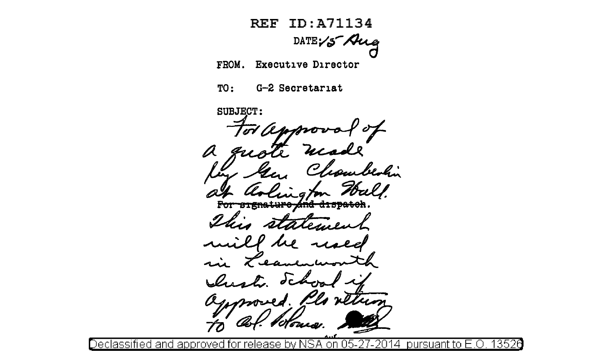**REF ID: A71134** DATE  $15$  Aug FROM. Executive Director TO: G-2 Secretariat **SUBJECT:** Ø  $\mathcal{L}_{\mathcal{L}}$ For -aignaturo

return ved. Klo

<u>Declassified and approved</u> 13526 pursuant to E.O rele

<u>overs</u>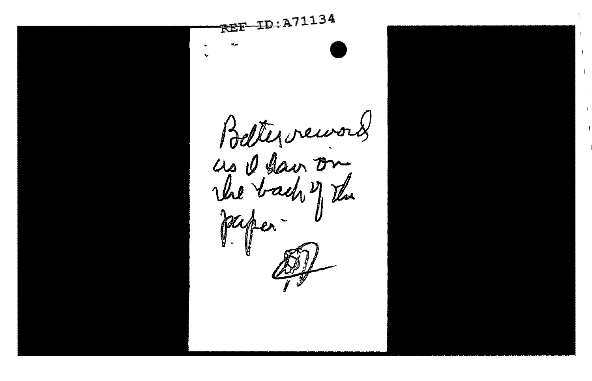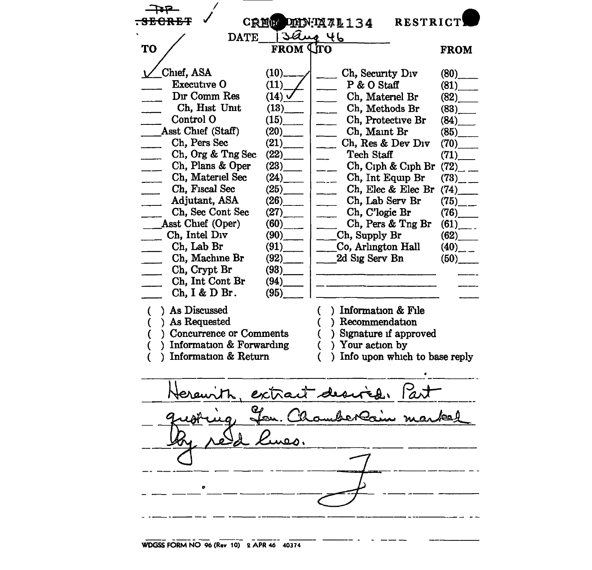|                                                |                         | <b>RESTRICT</b><br>CREW DHN: IX 71134          |                          |
|------------------------------------------------|-------------------------|------------------------------------------------|--------------------------|
| 3aug 46<br><b>DATE</b>                         |                         |                                                |                          |
| <b>TO</b>                                      | <b>FROM LITO</b>        |                                                | <b>FROM</b>              |
|                                                |                         |                                                |                          |
| Chief, ASA                                     | $(10)$ <sub>——</sub>    | Ch, Security Div                               | $(80)$ <sub>______</sub> |
| Executive O                                    | (11)                    | P & O Staff                                    | (81)                     |
| Dir Comm Res                                   | $(14)$ $\sqrt{ }$       | Ch, Materiel Br                                |                          |
| Ch, Hist Unit                                  | $(13)$ <sub>—</sub>     | Ch, Methods Br<br>alan sa                      | $(83)$ <sub>____</sub>   |
| Control O                                      | (15)                    | Ch, Protective Br<br>$\mathbb{Z}^{n-1}$        | (84)                     |
| Asst Chief (Staff)                             | (20)                    | Ch, Maint Br<br>$\overline{\phantom{0}}$       | $(85)$ <sub>____</sub>   |
| Ch, Pers Sec                                   | (21)                    | Ch, Res & Dev Div<br>$\overline{a}$            | $(70)$ <sub>____</sub>   |
| Ch, Org & Tng Sec                              | (22)                    | Tech Staff<br>$\overline{\phantom{a}}$         | (71)                     |
| Ch, Plans & Oper<br>$\mathcal{L}(\mathcal{L})$ |                         | Ch, Ciph & Ciph Br<br>$\frac{1}{2}$            | $(72)$ <sub>--</sub>     |
| Ch, Materiel Sec                               | (24)                    | Ch, Int Equip Br<br>$\overline{\phantom{a}}$   | $(73)$ <sub>--</sub>     |
| Ch, Fiscal Sec                                 | $(25)$ <sub>_____</sub> | Ch, Elec & Elec Br<br>$\overline{\phantom{a}}$ | (74)                     |
| Adjutant, ASA                                  | (26)                    | Ch, Lab Serv Br                                | $(75)$ <sub>__</sub>     |
| Ch, Sec Cont Sec                               | $(27)$ <sub>_____</sub> | Ch, C'logic Br                                 | $(76)$ <sub>_____</sub>  |
| Asst Chief (Oper)                              | $(60)$ <sub>___</sub>   | Ch, Pers & Tng Br                              | $(61)$ <sub>_____</sub>  |
| Ch, Intel Div                                  | $(90)$ <sub>____</sub>  | $\_\_$ Ch, Supply Br                           | (62)                     |
| Ch, Lab Br<br><u>and</u> a                     |                         | Co, Arlington Hall                             | $(40)$ <sub>--</sub>     |
| Ch, Machine Br                                 | $(92)$ <sub>____</sub>  | 2d Sig Serv Bn                                 | (50)                     |
| Ch, Crypt Br                                   |                         |                                                |                          |
| Ch, Int Cont Br                                | (94)                    |                                                |                          |
| Ch, I & D Br.                                  | (95)                    |                                                |                          |
| ) As Discussed<br>C                            |                         | ) Information & File<br>€                      |                          |
| ) As Requested                                 |                         | ) Recommendation                               |                          |
| ) Concurrence or Comments                      |                         | ) Signature if approved<br>€                   |                          |
| ) Information $&$ Forwarding                   |                         | ) Your action by<br>€                          |                          |
| ) Information & Return                         |                         | ) Info upon which to base reply<br>C           |                          |
|                                                |                         |                                                |                          |
|                                                |                         |                                                |                          |
|                                                |                         |                                                |                          |
| extract desire                                 |                         |                                                |                          |
|                                                |                         |                                                |                          |
|                                                |                         |                                                |                          |
|                                                |                         |                                                |                          |
|                                                |                         |                                                |                          |
|                                                |                         |                                                |                          |
|                                                |                         |                                                |                          |
|                                                |                         |                                                |                          |
|                                                |                         |                                                |                          |

и.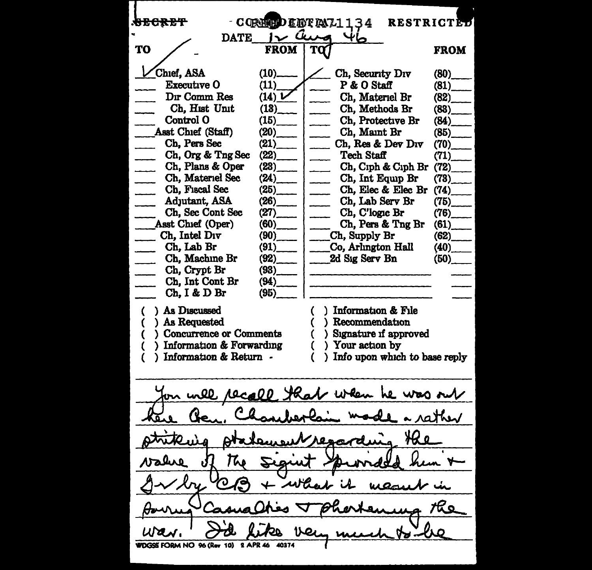<del>secret</del> - COREED INTENT1134 RESTRICTED  $T$ <sup>O</sup>/  $\frac{1}{\sqrt{2}}$  DATE  $\frac{1}{\sqrt{2}}$ **FROM** Chief, ASA  $(10)$ Ch, Security Div  $(80)$ <br>P & O Staff  $(81)$ Executive 0 (11) P & O Staff (81)<br>Ch. Materiel Br (82) Dir Comm.Res  $(14)$   $\triangleright$ Ch, Materiel Br (82)<br>Ch, Methods Br (83) Ch, Hist Unit<br>Control O (18)\_ Ch, Methods Br (83)<sub>.</sub><br>Ch. Protective Br (84) Ch, Protective Br (84)<sub>.</sub><br>Ch, Maint Br (85)  $(15)$ Asst Chief (Staff) (20)\_ Ch, Maint Br Ch, Pers Sec  $(21)$ Ch, Res & Dev Div  $(70)$ Ch, Org & Tng Sec (22)\_ Tech Staff  $(71)$ Ch, Plans & Oper  $(23)$ Ch, C1ph & C1ph Br {72)\_ Ch, Materiel See Ch, Int Equip Br  $(73)$ <br>Ch, Elec & Elec Br  $(74)$ (24)\_ Ch, Fiscal Sec Ch, Elec & Elec Br  $(74)$ <br>Ch, Lab Serv Br  $(75)$ (25)\_ AdJutant, ASA (26)\_ Ch, Lab Serv Br Ch, Sec Cont Sec Ch, C'logic Br  $(76)$ <br>Ch, Pers & Tng Br  $(61)$  $(27)$ Ch, Pers & Tng Br  $(61)$ <br>h, Supply Br  $(62)$ \_ Asst Chief {Oper)  $(60)$ \_ Ch, Intel Div (90)\_  $\begin{array}{lll} \text{Ch, Supply Br} & (62) \\ \text{Co, Arlngton Hall} & (40) \end{array}$ Ch, Lab Br Co, Arlington Hall (40)<sub>.</sub><br>2d Sig Serv Bn (50) (91)\_ Ch, Machine Br 2d Sig Serv Bn (92)\_ \_ Ch, Crypt Br (93)\_ \_ Ch, Int Cont Br (94)\_ Ch, I & D Br (95)\_ ) As Discussed Information & File As Requested Recommendation { ) Concurrence or Comments Signature if approved { ) Information & Forwarding ) Your action by Information & Return -( ) Info upon whICh to base reply on inll 10ca00 -len he was out rather the WDGSS FORM NO 96 (Rev 10) 2 APR 46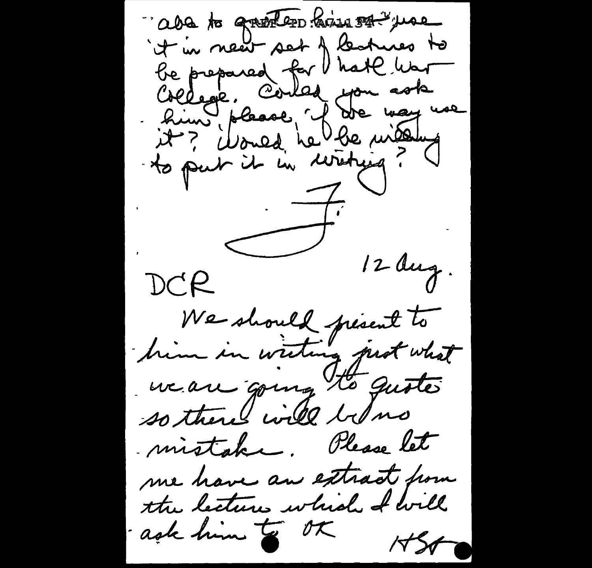"aba to grother him of year it in near set of learnes to be prepared for hate war Créege, Corles you ask to put it in writing?  $-\overline{7}$  $\left\langle \right\rangle$  $12du$ g. DCR We should present to him in writing prot what we are going to quote so there will below mistake. Please let me have an extract home the lectures which I will ask him to ot  $1560$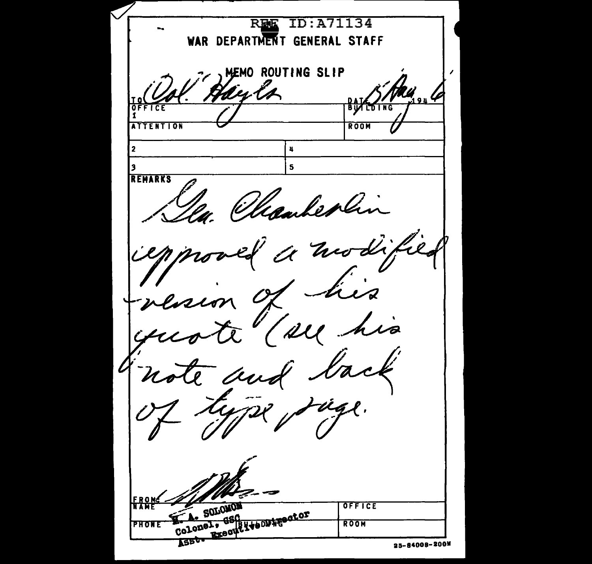TD: A71134 **REE** WAR DEPARTMENT GENERAL STAFF **LEMO ROUTING SLIP** en la ΒU **ATTENTION** ROOM  $\overline{2}$  $\mathbf{u}$  $\overline{\mathbf{5}}$ 13 REMARKS Whankerly  $\frac{1}{2}$ rco i<br>La 111 Kapper Excorp (1400) 4600tor **EROM** SOLOMON OFFICE **PHONE** ROOM 25-84008-200M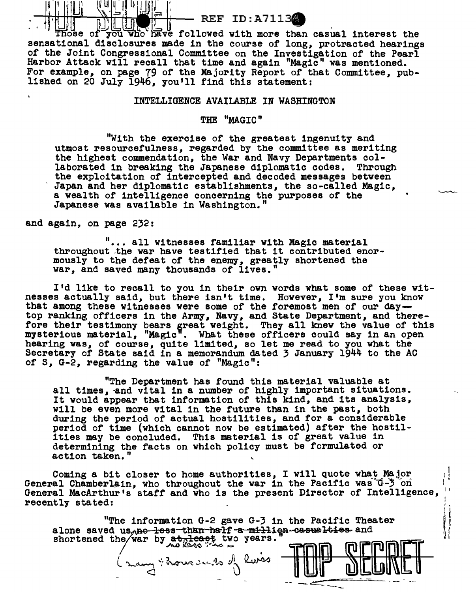## $-\frac{1}{2}$  .  $\frac{1}{2}$   $\frac{1}{2}$   $\frac{1}{2}$   $\frac{1}{2}$   $\frac{1}{2}$   $\frac{1}{2}$   $\frac{1}{2}$   $\frac{1}{2}$   $\frac{1}{2}$   $\frac{1}{2}$   $\frac{1}{2}$   $\frac{1}{2}$   $\frac{1}{2}$   $\frac{1}{2}$   $\frac{1}{2}$   $\frac{1}{2}$   $\frac{1}{2}$   $\frac{1}{2}$   $\frac{1}{2}$   $\frac{1}{2}$   $\frac{1}{2}$

ose of you who have followed with more than casual interest the sensational disclosures made in the course of long, protracted hearings of the Joint Congressional Committee on the Investigation of the Pearl Harbor Attack will recall that time and again "Magic" was mentioned. For example, on page 79 of the Majority Report of that Committee, published on 20 July 1946, you'll find this statement:

## INTELLIGENCE AVAILABLE IN WASHINGTON

THE "MAGIC"

"With the exercise of the greatest ingenuity and utmost resourcefulness, regarded by the committee as meriting the highest commendation, the War and Navy Departments collaborated in breaking the Japanese diplomatic codes. Through the exploitation of intercepted and decoded messages between Japan and her diplomatic establishments, the so-called Magic, a wealth of intelligence concerning the purposes or the Japanese was available in Washington."

and again, on page 232:

u u ~ -

 $\mathcal{H}^{\text{eff}}$  . The set of  $\mathcal{H}$ 

 $"$ ... all witnesses familiar with Magic material throughout .the war have testified that it contributed enormously to the defeat of the enemy, greatly shortened the war, and saved many thousands of lives."

I'd like to recall to you in their own words what some of these witnesses actually said, but there isn't time. However, I'm sure you know that among these witnesses were some of the foremost men of our daytop ranking officers in the Army, Navy, and State Department, and therefore their testimony bears great weight. They all knew the value of this mysterious material, "Magic". What these officers could say in an open hearing was, of course, quite limited, so let me read to you what the Secretary of State said in a memorandum dated 3 January 1944 to the AC of S, G-2, regarding the value of "Magic":

"The Department has found this material valuable at all times, and vital in a number of highly important situations. It would appear that information of this kind, and its analysis, will be even more vital in the future than in the past, both during the period of actual hostilities, and for a considerable period or time (which cannot now be estimated) after the hostilities may be concluded. This material is of great value in determining the facts on which policy must be formulated or action taken."

Coming a bit closer to home authorities, I will quote what Major General Chamberlain, who throughout the war in the Pacific was G-3 on General MacArthur's staff and who is the present Director of Intelligence, recently stated:

"The information G-2 gave G-3 in the Pacific Theater alone saved us no less than half a million casualties and shortened the war by at least two years.

(many : hoursures of lives

 $-2$ 

1  $\prod_{i=1}^n$ 

Here is a series of the series of the series of the series of the series of the series of the series of the se<br>
Here is a series of the series of the series of the series of the series of the series of the series of the s<br>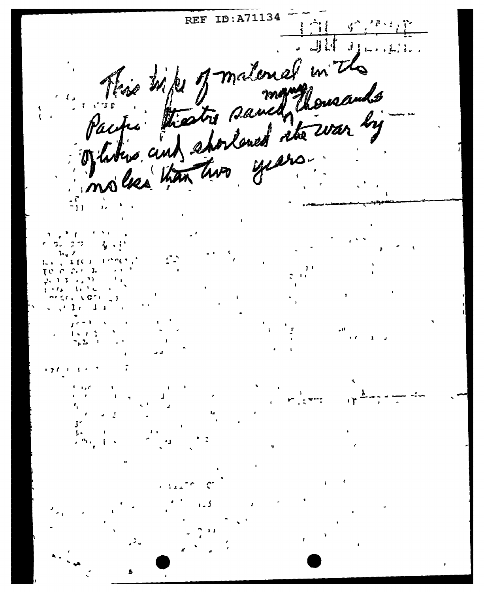REF ID:A71134 This hips of material in  $1.1.1$ Pacific thester saved thousands noles than two years

 $\mathbf{X}$   $\mathbf{f}$   $\mathbf{C}$   $\mathbf{I}$ - 3. C.  $\mathcal{N}$  $\mathbf{1}$ ,  $\mathbf{1}$  is a set of  $\mathbf{1}$ 

 $1 \leq i \leq 1$